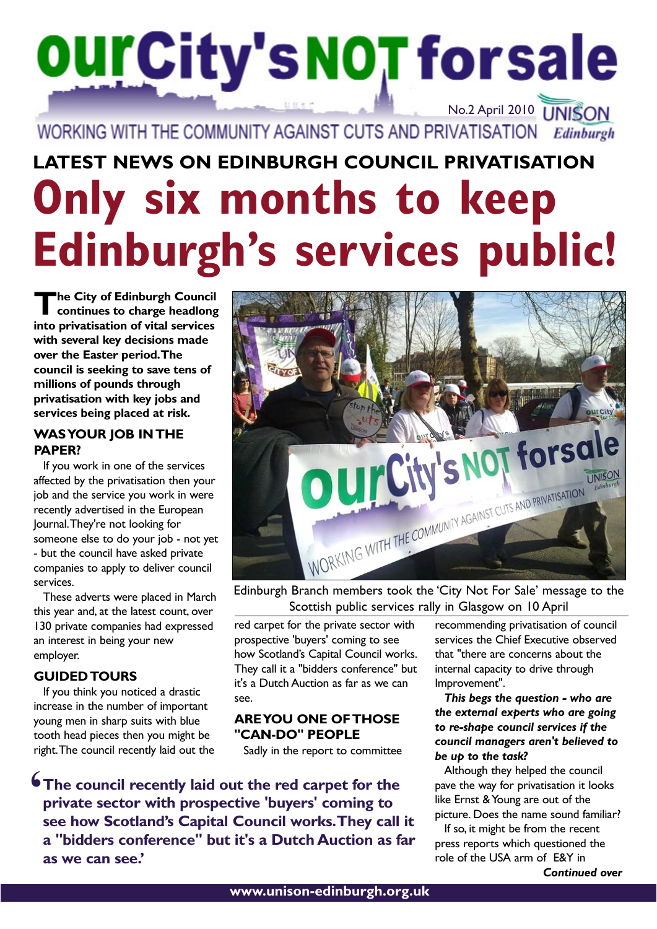# **OUI'City's NOT for sale** No.2 April 2010 **UNISON**

WORKING WITH THE COMMUNITY AGAINST CUTS AND PRIVATISATION Edinburgh

## **Only six months to keep Edinburgh's services public! LATEST NEWS ON EDINBURGH COUNCIL PRIVATISATION**

**T he City of Edinburgh Council continues to charge headlong into privatisation of vital services with several key decisions made over the Easter period.The council is seeking to save tens of millions of pounds through privatisation with key jobs and services being placed at risk.**

## **WAS YOUR JOB IN THE PAPER?**

If you work in one of the services affected by the privatisation then your job and the service you work in were recently advertised in the European Journal.They're not looking for someone else to do your job - not yet - but the council have asked private companies to apply to deliver council services.

These adverts were placed in March this year and, at the latest count, over 130 private companies had expressed an interest in being your new employer.

## **GUIDED TOURS**

If you think you noticed a drastic increase in the number of important young men in sharp suits with blue tooth head pieces then you might be right.The council recently laid out the



Edinburgh Branch members took the 'City Not For Sale' message to the Scottish public services rally in Glasgow on 10 April

red carpet for the private sector with prospective 'buyers' coming to see how Scotland's Capital Council works. They call it a "bidders conference" but it's a Dutch Auction as far as we can see.

## **ARE YOU ONE OF THOSE "CAN-DO" PEOPLE**

Sadly in the report to committee

**The council recently laid out the red carpet for the private sector with prospective 'buyers' coming to see how Scotland's Capital Council works.They call it a "bidders conference" but it's a Dutch Auction as far as we can see.' '**

recommending privatisation of council services the Chief Executive observed that "there are concerns about the internal capacity to drive through Improvement".

*This begs the question - who are the external experts who are going to re-shape council services if the council managers aren't believed to be up to the task?* 

Although they helped the council pave the way for privatisation it looks like Ernst & Young are out of the picture. Does the name sound familiar?

If so, it might be from the recent press reports which questioned the role of the USA arm of E&Y in